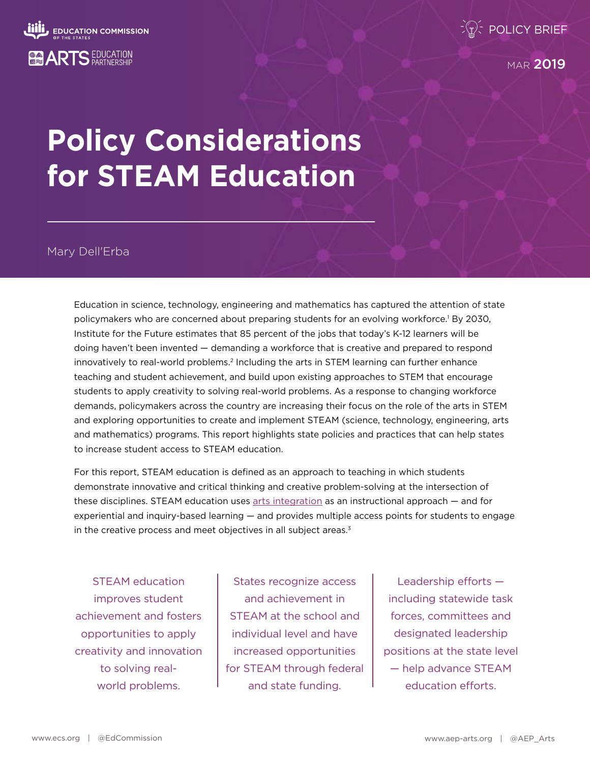

**MAR 2019** 

# **Policy Considerations for STEAM Education**

Mary Dell'Erba

Education in science, technology, engineering and mathematics has captured the attention of state policymakers who are concerned about preparing students for an evolving workforce.<sup>1</sup> By 2030, Institute for the Future estimates that 85 percent of the jobs that today's K-12 learners will be doing haven't been invented — demanding a workforce that is creative and prepared to respond innovatively to real-world problems.2 Including the arts in STEM learning can further enhance teaching and student achievement, and build upon existing approaches to STEM that encourage students to apply creativity to solving real-world problems. As a response to changing workforce demands, policymakers across the country are increasing their focus on the role of the arts in STEM and exploring opportunities to create and implement STEAM (science, technology, engineering, arts and mathematics) programs. This report highlights state policies and practices that can help states to increase student access to STEAM education.

For this report, STEAM education is defined as an approach to teaching in which students demonstrate innovative and critical thinking and creative problem-solving at the intersection of these disciplines. STEAM education uses [arts integration](https://www.ecs.org/preparing-educators-and-school-leaders-for-effective-arts-integration/) as an instructional approach — and for experiential and inquiry-based learning — and provides multiple access points for students to engage in the creative process and meet objectives in all subject areas.<sup>3</sup>

STEAM education improves student achievement and fosters opportunities to apply creativity and innovation to solving realworld problems.

States recognize access and achievement in STEAM at the school and individual level and have increased opportunities for STEAM through federal and state funding.

Leadership efforts including statewide task forces, committees and designated leadership positions at the state level — help advance STEAM education efforts.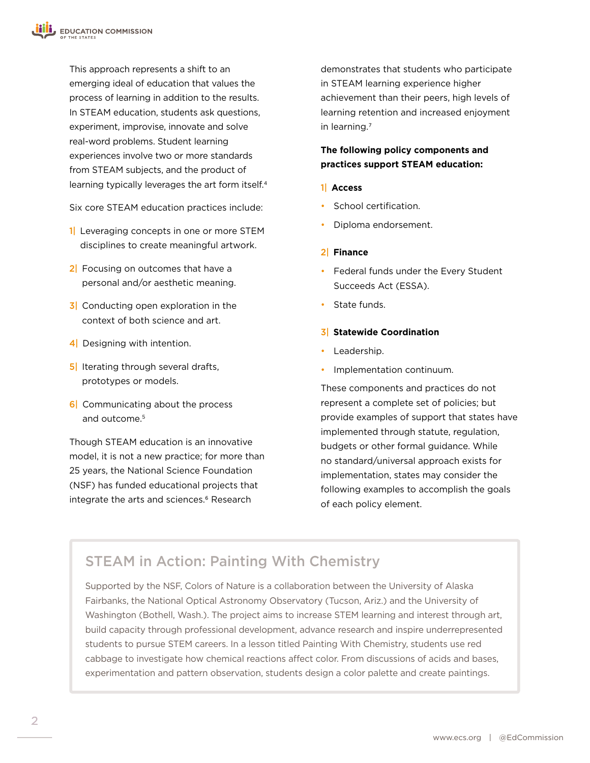This approach represents a shift to an emerging ideal of education that values the process of learning in addition to the results. In STEAM education, students ask questions, experiment, improvise, innovate and solve real-word problems. Student learning experiences involve two or more standards from STEAM subjects, and the product of learning typically leverages the art form itself.<sup>4</sup>

Six core STEAM education practices include:

- 1 Leveraging concepts in one or more STEM disciplines to create meaningful artwork.
- 2 Focusing on outcomes that have a personal and/or aesthetic meaning.
- **3** Conducting open exploration in the context of both science and art.
- 4 Designing with intention.
- 5 Iterating through several drafts, prototypes or models.
- 6 Communicating about the process and outcome.<sup>5</sup>

Though STEAM education is an innovative model, it is not a new practice; for more than 25 years, the National Science Foundation (NSF) has funded educational projects that integrate the arts and sciences.<sup>6</sup> Research

demonstrates that students who participate in STEAM learning experience higher achievement than their peers, high levels of learning retention and increased enjoyment in learning.7

#### **The following policy components and practices support STEAM education:**

#### 1| **Access**

- School certification.
- Diploma endorsement.

#### 2| **Finance**

- Federal funds under the Every Student Succeeds Act (ESSA).
- State funds.

#### 3| **Statewide Coordination**

- Leadership.
- Implementation continuum.

These components and practices do not represent a complete set of policies; but provide examples of support that states have implemented through statute, regulation, budgets or other formal guidance. While no standard/universal approach exists for implementation, states may consider the following examples to accomplish the goals of each policy element.

## STEAM in Action: Painting With Chemistry

Supported by the NSF, Colors of Nature is a collaboration between the University of Alaska Fairbanks, the National Optical Astronomy Observatory (Tucson, Ariz.) and the University of Washington (Bothell, Wash.). The project aims to increase STEM learning and interest through art, build capacity through professional development, advance research and inspire underrepresented students to pursue STEM careers. In a lesson titled Painting With Chemistry, students use red cabbage to investigate how chemical reactions affect color. From discussions of acids and bases, experimentation and pattern observation, students design a color palette and create paintings.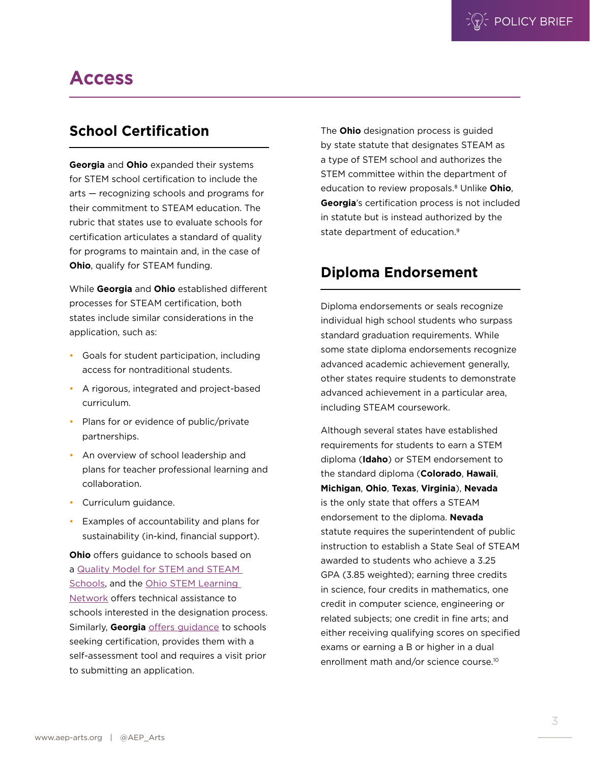POLICY BRIEF

## **Access**

### **School Certification**

**Georgia** and **Ohio** expanded their systems for STEM school certification to include the arts — recognizing schools and programs for their commitment to STEAM education. The rubric that states use to evaluate schools for certification articulates a standard of quality for programs to maintain and, in the case of **Ohio**, qualify for STEAM funding.

While **Georgia** and **Ohio** established different processes for STEAM certification, both states include similar considerations in the application, such as:

- Goals for student participation, including access for nontraditional students.
- A rigorous, integrated and project-based curriculum.
- Plans for or evidence of public/private partnerships.
- An overview of school leadership and plans for teacher professional learning and collaboration.
- Curriculum guidance.
- Examples of accountability and plans for sustainability (in-kind, financial support).

**Ohio** offers guidance to schools based on a [Quality Model for STEM and STEAM](http://education.ohio.gov/getattachment/Topics/Career-Tech/STEM/Quality-Model-for-STEM-and-STEAM-Schools-12-18-2017.pdf.aspx?lang=en-US)  [Schools,](http://education.ohio.gov/getattachment/Topics/Career-Tech/STEM/Quality-Model-for-STEM-and-STEAM-Schools-12-18-2017.pdf.aspx?lang=en-US) and the Ohio STEM Learning [Network](https://www.osln.org/schools/) offers technical assistance to schools interested in the designation process. Similarly, **Georgia** [offers guidance](http://www.stemgeorgia.org/certification/) to schools seeking certification, provides them with a self-assessment tool and requires a visit prior to submitting an application.

The **Ohio** designation process is guided by state statute that designates STEAM as a type of STEM school and authorizes the STEM committee within the department of education to review proposals.8 Unlike **Ohio**, **Georgia**'s certification process is not included in statute but is instead authorized by the state department of education.<sup>9</sup>

### **Diploma Endorsement**

Diploma endorsements or seals recognize individual high school students who surpass standard graduation requirements. While some state diploma endorsements recognize advanced academic achievement generally, other states require students to demonstrate advanced achievement in a particular area, including STEAM coursework.

Although several states have established requirements for students to earn a STEM diploma (**Idaho**) or STEM endorsement to the standard diploma (**Colorado**, **Hawaii**, **Michigan**, **Ohio**, **Texas**, **Virginia**), **Nevada** is the only state that offers a STEAM endorsement to the diploma. **Nevada** statute requires the superintendent of public instruction to establish a State Seal of STEAM awarded to students who achieve a 3.25 GPA (3.85 weighted); earning three credits in science, four credits in mathematics, one credit in computer science, engineering or related subjects; one credit in fine arts; and either receiving qualifying scores on specified exams or earning a B or higher in a dual enrollment math and/or science course.10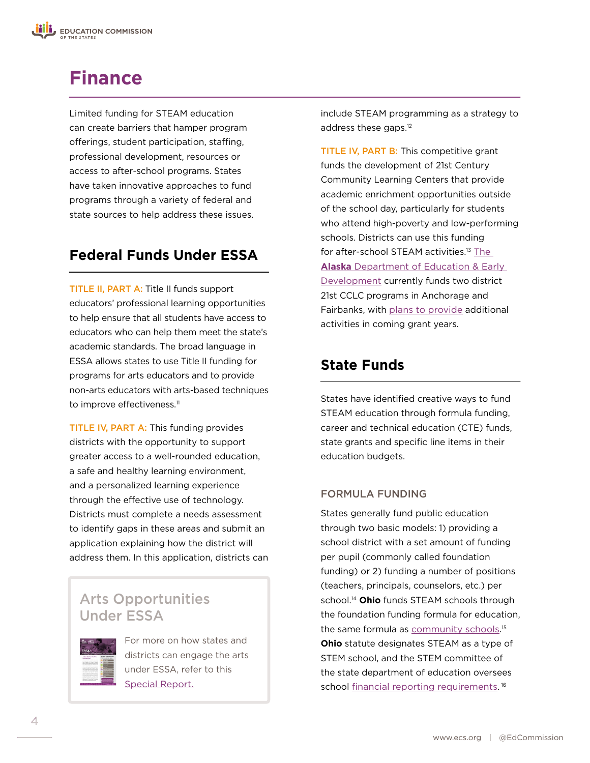## **Finance**

Limited funding for STEAM education can create barriers that hamper program offerings, student participation, staffing, professional development, resources or access to after-school programs. States have taken innovative approaches to fund programs through a variety of federal and state sources to help address these issues.

## **Federal Funds Under ESSA**

TITLE II, PART A: Title II funds support educators' professional learning opportunities to help ensure that all students have access to educators who can help them meet the state's academic standards. The broad language in ESSA allows states to use Title II funding for programs for arts educators and to provide non-arts educators with arts-based techniques to improve effectiveness.<sup>11</sup>

TITLE IV, PART A: This funding provides districts with the opportunity to support greater access to a well-rounded education, a safe and healthy learning environment, and a personalized learning experience through the effective use of technology. Districts must complete a needs assessment to identify gaps in these areas and submit an application explaining how the district will address them. In this application, districts can

## Arts Opportunities Under ESSA



For more on how states and districts can engage the arts under ESSA, refer to this [Special Report.](https://www.ecs.org/essa-mapping-opportunities-for-the-arts/)

include STEAM programming as a strategy to address these gaps.12

TITLE IV, PART B: This competitive grant funds the development of 21st Century Community Learning Centers that provide academic enrichment opportunities outside of the school day, particularly for students who attend high-poverty and low-performing schools. Districts can use this funding for after-school STEAM activities.13 [The](https://education.alaska.gov/21cclc)  **Alaska** [Department of Education & Early](https://education.alaska.gov/21cclc)  [Development](https://education.alaska.gov/21cclc) currently funds two district 21st CCLC programs in Anchorage and Fairbanks, with [plans to provide](https://education.alaska.gov/21cclc/pdf/statewide_eval_report.pdf) additional activities in coming grant years.

## **State Funds**

States have identified creative ways to fund STEAM education through formula funding, career and technical education (CTE) funds, state grants and specific line items in their education budgets.

#### FORMULA FUNDING

States generally fund public education through two basic models: 1) providing a school district with a set amount of funding per pupil (commonly called foundation funding) or 2) funding a number of positions (teachers, principals, counselors, etc.) per school.14 **Ohio** funds STEAM schools through the foundation funding formula for education, the same formula as **community schools.**<sup>15</sup> **Ohio** statute designates STEAM as a type of STEM school, and the STEM committee of the state department of education oversees school [financial reporting requirements](http://education.ohio.gov/getattachment/Topics/Career-Tech/STEM/Financial-Reporting-For-STEM-Schools/Guidelines-for-financial-reporting-STEM-schools-2018.pdf.aspx?lang=en-US).<sup>16</sup>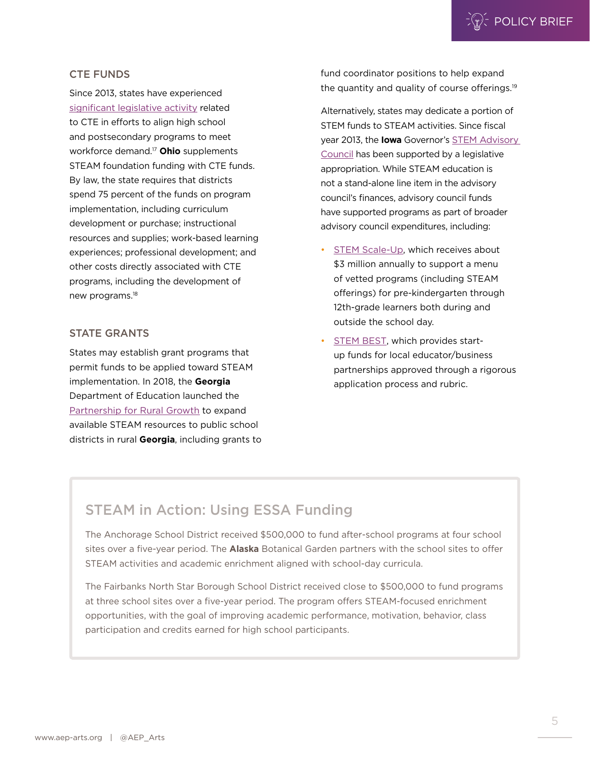#### CTE FUNDS

Since 2013, states have experienced [significant legislative activity](https://www.ecs.org/state-of-the-state-addresses-2011-current-year/) related to CTE in efforts to align high school and postsecondary programs to meet workforce demand.17 **Ohio** supplements STEAM foundation funding with CTE funds. By law, the state requires that districts spend 75 percent of the funds on program implementation, including curriculum development or purchase; instructional resources and supplies; work-based learning experiences; professional development; and other costs directly associated with CTE programs, including the development of new programs.18

#### STATE GRANTS

States may establish grant programs that permit funds to be applied toward STEAM implementation. In 2018, the **Georgia** Department of Education launched the [Partnership for Rural Growth](http://www.gadoe.org/External-Affairs-and-Policy/communications/Pages/PressReleaseDetails.aspx?PressView=default&pid=655) to expand available STEAM resources to public school districts in rural **Georgia**, including grants to fund coordinator positions to help expand the quantity and quality of course offerings.19

Alternatively, states may dedicate a portion of STEM funds to STEAM activities. Since fiscal year 2013, the **Iowa** Governor's [STEM Advisory](https://iowastem.gov/)  [Council](https://iowastem.gov/) has been supported by a legislative appropriation. While STEAM education is not a stand-alone line item in the advisory council's finances, advisory council funds have supported programs as part of broader advisory council expenditures, including:

- [STEM Scale-Up,](https://iowastem.gov/Scale-Up) which receives about \$3 million annually to support a menu of vetted programs (including STEAM offerings) for pre-kindergarten through 12th-grade learners both during and outside the school day.
- [STEM BEST](https://iowastem.gov/STEMBEST), which provides startup funds for local educator/business partnerships approved through a rigorous application process and rubric.

## STEAM in Action: Using ESSA Funding

The Anchorage School District received \$500,000 to fund after-school programs at four school sites over a five-year period. The **Alaska** Botanical Garden partners with the school sites to offer STEAM activities and academic enrichment aligned with school-day curricula.

The Fairbanks North Star Borough School District received close to \$500,000 to fund programs at three school sites over a five-year period. The program offers STEAM-focused enrichment opportunities, with the goal of improving academic performance, motivation, behavior, class participation and credits earned for high school participants.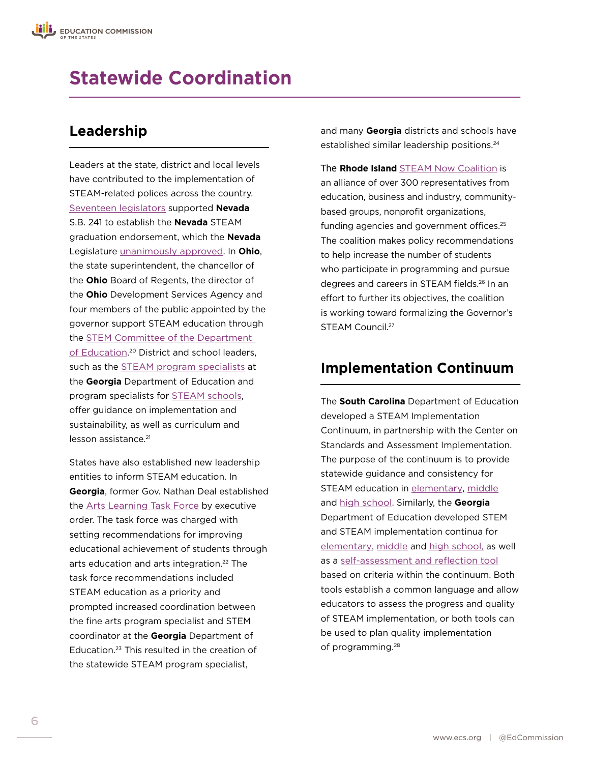## **Statewide Coordination**

## **Leadership**

Leaders at the state, district and local levels have contributed to the implementation of STEAM-related polices across the country. [Seventeen legislators](https://legiscan.com/NV/bill/SB241/2017) supported **Nevada** S.B. 241 to establish the **Nevada** STEAM graduation endorsement, which the **Nevada** Legislature [unanimously approved.](https://legiscan.com/NV/votes/SB241/2017) In **Ohio**, the state superintendent, the chancellor of the **Ohio** Board of Regents, the director of the **Ohio** Development Services Agency and four members of the public appointed by the governor support STEAM education through the [STEM Committee of the Department](http://education.ohio.gov/getattachment/Topics/Career-Tech/STEM/STEM-Committee/STEM-Committee-Roster-posted-Oct-2016.pdf.aspx)  [of Education](http://education.ohio.gov/getattachment/Topics/Career-Tech/STEM/STEM-Committee/STEM-Committee-Roster-posted-Oct-2016.pdf.aspx). 20 District and school leaders, such as the [STEAM program specialists](http://www.gadoe.org/Curriculum-Instruction-and-Assessment/CTAE/Pages/STEM.aspx) at the **Georgia** Department of Education and program specialists for [STEAM schools,](http://www.stemgeorgia.org/stem-steam-certified-schools/) offer guidance on implementation and sustainability, as well as curriculum and lesson assistance.<sup>21</sup>

States have also established new leadership entities to inform STEAM education. In **Georgia**, former Gov. Nathan Deal established the [Arts Learning Task Force](http://gaarts.org/programs/arts-education/arts-learning-task-force) by executive order. The task force was charged with setting recommendations for improving educational achievement of students through arts education and arts integration.<sup>22</sup> The task force recommendations included STEAM education as a priority and prompted increased coordination between the fine arts program specialist and STEM coordinator at the **Georgia** Department of Education.23 This resulted in the creation of the statewide STEAM program specialist,

and many **Georgia** districts and schools have established similar leadership positions.<sup>24</sup>

The **Rhode Island** [STEAM Now Coalition](http://www.risteamcenter.org/wp-content/uploads/RI-STEAM-Now-Coalition_1pager_Oct2015-REV.pdf) is an alliance of over 300 representatives from education, business and industry, communitybased groups, nonprofit organizations, funding agencies and government offices.<sup>25</sup> The coalition makes policy recommendations to help increase the number of students who participate in programming and pursue degrees and careers in STEAM fields.<sup>26</sup> In an effort to further its objectives, the coalition is working toward formalizing the Governor's STEAM Council.<sup>27</sup>

## **Implementation Continuum**

The **South Carolina** Department of Education developed a STEAM Implementation Continuum, in partnership with the Center on Standards and Assessment Implementation. The purpose of the continuum is to provide statewide guidance and consistency for STEAM education in [elementary](https://ed.sc.gov/scdoe/assets/File/instruction/standards/Visual%20Arts/SCDESTEAMImplementationContinuum-ElementarySchool.pdf), [middle](https://ed.sc.gov/scdoe/assets/File/instruction/standards/Visual%20Arts/SCDESTEAMImplementationContinuum-MiddleSchool.pdf) and [high school.](https://ed.sc.gov/scdoe/assets/File/instruction/standards/Visual%20Arts/SCDESTEAMImplementationContinuum-HighSchool.pdf) Similarly, the **Georgia** Department of Education developed STEM and STEAM implementation continua for [elementary](http://www.stemgeorgia.org/wp-content/uploads/2018/08/STEAM-Certification-Continuum-for-Elementary-2.pdf), [middle](http://www.stemgeorgia.org/wp-content/uploads/2018/08/STEAM-Certification-Continuum-for-Middle-1-1.pdf) and [high school,](http://www.stemgeorgia.org/wp-content/uploads/2018/08/STEAM-Certification-Continuum-for-High-1.pdf) as well as a [self-assessment and reflection tool](http://www.stemgeorgia.org/certification/) based on criteria within the continuum. Both tools establish a common language and allow educators to assess the progress and quality of STEAM implementation, or both tools can be used to plan quality implementation of programming.<sup>28</sup>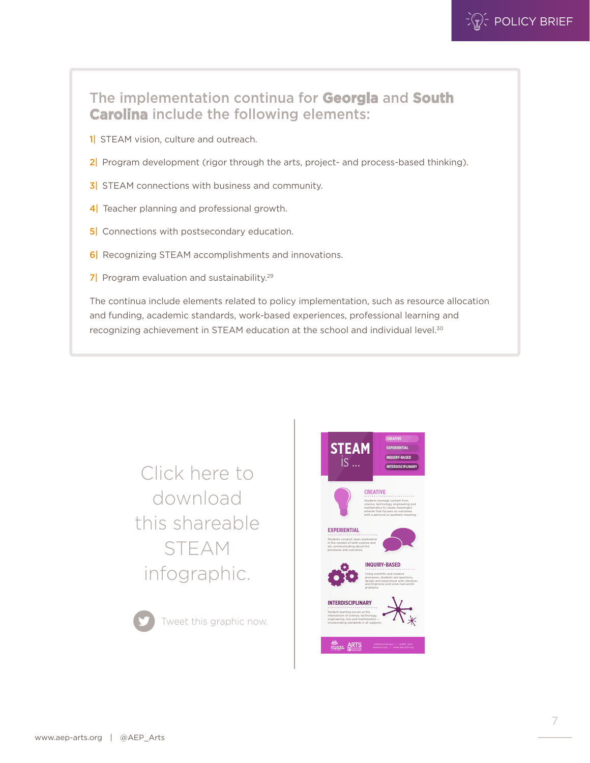## The implementation continua for **Georgia** and **South Carolina** include the following elements:

- 1| STEAM vision, culture and outreach.
- 2. Program development (rigor through the arts, project- and process-based thinking).
- **3** STEAM connections with business and community.
- 4 Teacher planning and professional growth.
- **5** Connections with postsecondary education.
- 6| Recognizing STEAM accomplishments and innovations.
- 7 Program evaluation and sustainability.<sup>29</sup>

The continua include elements related to policy implementation, such as resource allocation and funding, academic standards, work-based experiences, professional learning and recognizing achievement in STEAM education at the school and individual level.<sup>30</sup>

> Click here to download [this shareable](https://www.ecs.org/steam-infographic/)  STEAM infographic.

> > [Tweet this graphic now.](https://ctt.ac/7XEVa)

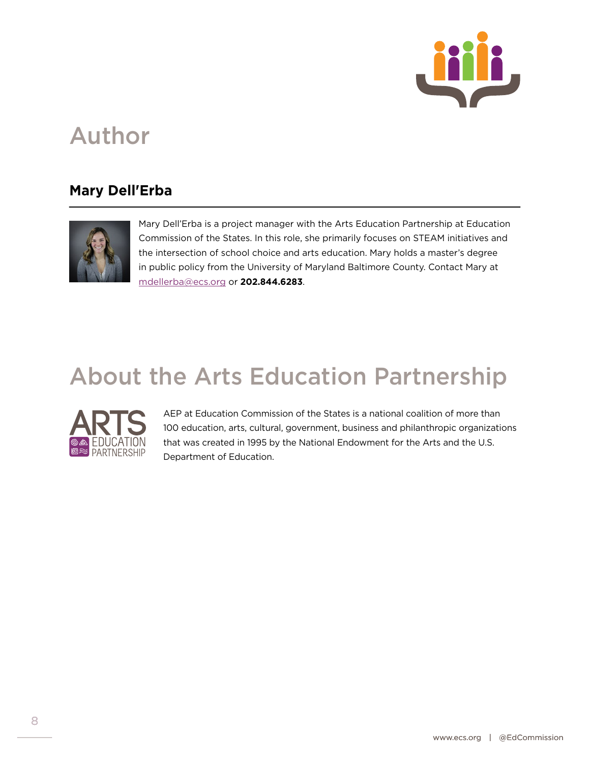

## Author

## **Mary Dell'Erba**



Mary Dell'Erba is a project manager with the Arts Education Partnership at Education Commission of the States. In this role, she primarily focuses on STEAM initiatives and the intersection of school choice and arts education. Mary holds a master's degree in public policy from the University of Maryland Baltimore County. Contact Mary at [mdellerba@ecs.org](mailto:mdellerba@ecs.org) or **202.844.6283**.

## About the Arts Education Partnership



AEP at Education Commission of the States is a national coalition of more than 100 education, arts, cultural, government, business and philanthropic organizations that was created in 1995 by the National Endowment for the Arts and the U.S. Department of Education.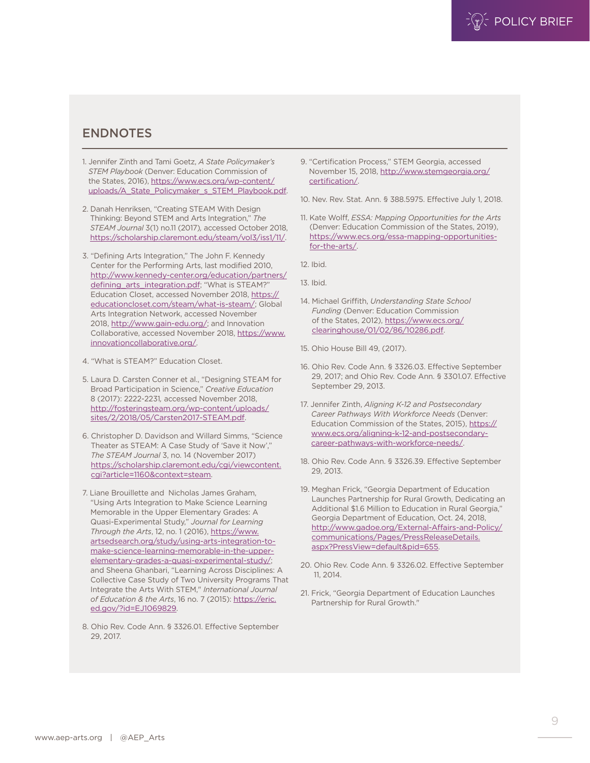#### ENDNOTES

- 1. Jennifer Zinth and Tami Goetz, *A State Policymaker's STEM Playbook* (Denver: Education Commission of the States, 2016), [https://www.ecs.org/wp-content/](https://www.ecs.org/wp-content/uploads/A_State_Policymaker_s_STEM_Playbook.pdf) [uploads/A\\_State\\_Policymaker\\_s\\_STEM\\_Playbook.pdf](https://www.ecs.org/wp-content/uploads/A_State_Policymaker_s_STEM_Playbook.pdf).
- 2. Danah Henriksen, "Creating STEAM With Design Thinking: Beyond STEM and Arts Integration," *The STEAM Journal* 3(1) no.11 (2017)*,* accessed October 2018, [https://scholarship.claremont.edu/steam/vol3/iss1/11/.](https://scholarship.claremont.edu/steam/vol3/iss1/11/)
- 3. "Defining Arts Integration," The John F. Kennedy Center for the Performing Arts, last modified 2010, [http://www.kennedy-center.org/education/partners/](http://www.kennedy-center.org/education/partners/defining_arts_integration.pdf) defining arts integration.pdf; "What is STEAM?" Education Closet, accessed November 2018, [https://](https://educationcloset.com/steam/what-is-steam/) [educationcloset.com/steam/what-is-steam/;](https://educationcloset.com/steam/what-is-steam/) Global Arts Integration Network, accessed November 2018, [http://www.gain-edu.org/;](http://www.gain-edu.org/) and Innovation Collaborative, accessed November 2018, [https://www.](https://www.innovationcollaborative.org/) [innovationcollaborative.org/.](https://www.innovationcollaborative.org/)
- 4. "What is STEAM?" Education Closet.
- 5. Laura D. Carsten Conner et al., "Designing STEAM for Broad Participation in Science," *Creative Education*  8 (2017): 2222-2231*,* accessed November 2018, [http://fosteringsteam.org/wp-content/uploads/](http://fosteringsteam.org/wp-content/uploads/sites/2/2018/05/Carsten2017-STEAM.pdf) [sites/2/2018/05/Carsten2017-STEAM.pdf.](http://fosteringsteam.org/wp-content/uploads/sites/2/2018/05/Carsten2017-STEAM.pdf)
- 6. Christopher D. Davidson and Willard Simms, "Science Theater as STEAM: A Case Study of 'Save it Now'," *The STEAM Journal* 3, no. 14 (November 2017) [https://scholarship.claremont.edu/cgi/viewcontent.](https://scholarship.claremont.edu/cgi/viewcontent.cgi?article=1160&context=steam) [cgi?article=1160&context=steam.](https://scholarship.claremont.edu/cgi/viewcontent.cgi?article=1160&context=steam)
- 7. Liane Brouillette and Nicholas James Graham, "Using Arts Integration to Make Science Learning Memorable in the Upper Elementary Grades: A Quasi-Experimental Study," *Journal for Learning Through the Arts*, 12, no. 1 (2016), [https://www.](https://www.artsedsearch.org/study/using-arts-integration-to-make-science-learning-memorable-in-the-upper-elementary-grades-a-quasi-experimental-study/) [artsedsearch.org/study/using-arts-integration-to](https://www.artsedsearch.org/study/using-arts-integration-to-make-science-learning-memorable-in-the-upper-elementary-grades-a-quasi-experimental-study/)[make-science-learning-memorable-in-the-upper](https://www.artsedsearch.org/study/using-arts-integration-to-make-science-learning-memorable-in-the-upper-elementary-grades-a-quasi-experimental-study/)[elementary-grades-a-quasi-experimental-study/](https://www.artsedsearch.org/study/using-arts-integration-to-make-science-learning-memorable-in-the-upper-elementary-grades-a-quasi-experimental-study/); and Sheena Ghanbari, "Learning Across Disciplines: A Collective [Case Study](https://www.artsedsearch.org/glossary/case-study/) of Two University Programs That Integrate the Arts With STEM," *International Journal of Education & the Arts*, 16 no. 7 (2015): [https://eric.](https://eric.ed.gov/?id=EJ1069829) [ed.gov/?id=EJ1069829](https://eric.ed.gov/?id=EJ1069829).
- 8. Ohio Rev. Code Ann. § 3326.01. Effective September 29, 2017.
- 9. "Certification Process," STEM Georgia, accessed November 15, 2018, [http://www.stemgeorgia.org/](http://www.stemgeorgia.org/certification/) [certification/](http://www.stemgeorgia.org/certification/).
- 10. Nev. Rev. Stat. Ann. § 388.5975. Effective July 1, 2018.
- 11. Kate Wolff, *ESSA: Mapping Opportunities for the Arts* (Denver: Education Commission of the States, 2019), https://www.ecs.org/essa-mapping-opportunitiesfor-the-arts/.
- 12. Ibid.
- 13. Ibid.
- 14. Michael Griffith, *Understanding State School Funding* (Denver: Education Commission of the States, 2012), [https://www.ecs.org/](https://www.ecs.org/clearinghouse/01/02/86/10286.pdf) [clearinghouse/01/02/86/10286.pdf](https://www.ecs.org/clearinghouse/01/02/86/10286.pdf).
- 15. Ohio House Bill 49, (2017).
- 16. Ohio Rev. Code Ann. § 3326.03. Effective September 29, 2017; and Ohio Rev. Code Ann. § 3301.07. Effective September 29, 2013.
- 17. Jennifer Zinth, *Aligning K-12 and Postsecondary Career Pathways With Workforce Needs* (Denver: Education Commission of the States, 2015), https:// www.ecs.org/aligning-k-12-and-postsecondarycareer-pathways-with-workforce-needs/.
- 18. Ohio Rev. Code Ann. § 3326.39. Effective September 29, 2013.
- 19. Meghan Frick, "Georgia Department of Education Launches Partnership for Rural Growth, Dedicating an Additional \$1.6 Million to Education in Rural Georgia," Georgia Department of Education, Oct. 24, 2018, [http://www.gadoe.org/External-Affairs-and-Policy/](http://www.gadoe.org/External-Affairs-and-Policy/communications/Pages/PressReleaseDetails.aspx?PressView=default&pid=655) [communications/Pages/PressReleaseDetails.](http://www.gadoe.org/External-Affairs-and-Policy/communications/Pages/PressReleaseDetails.aspx?PressView=default&pid=655) [aspx?PressView=default&pid=655.](http://www.gadoe.org/External-Affairs-and-Policy/communications/Pages/PressReleaseDetails.aspx?PressView=default&pid=655)
- 20. Ohio Rev. Code Ann. § 3326.02. Effective September 11, 2014.
- 21. Frick, "Georgia Department of Education Launches Partnership for Rural Growth."